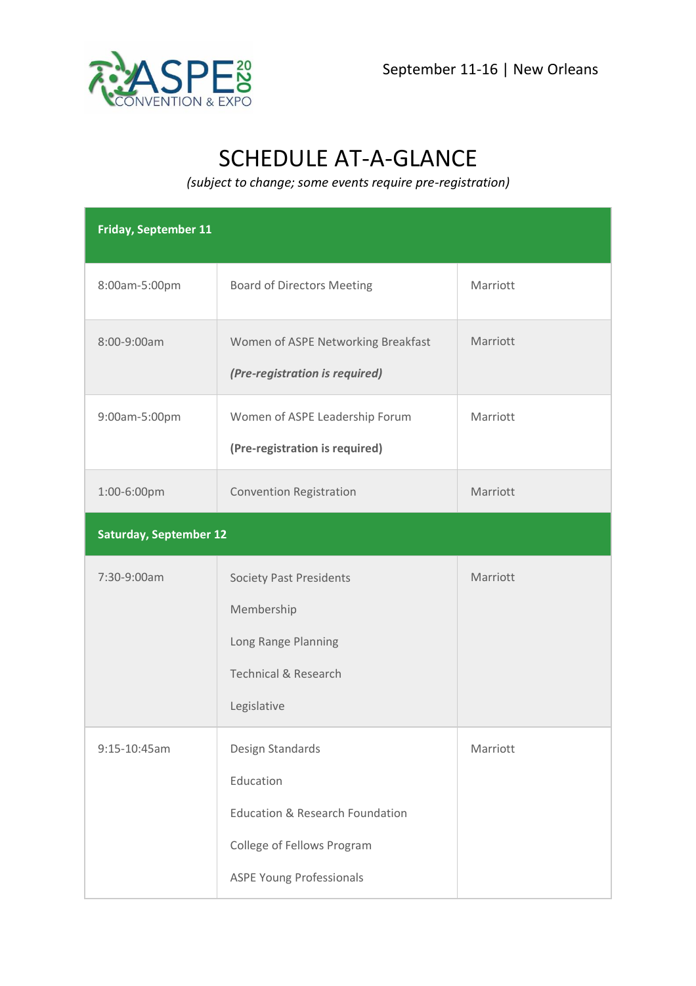



## SCHEDULE AT-A-GLANCE

*(subject to change; some events require pre-registration)* 

| <b>Friday, September 11</b>   |                                                                                     |          |  |  |
|-------------------------------|-------------------------------------------------------------------------------------|----------|--|--|
| 8:00am-5:00pm                 | <b>Board of Directors Meeting</b>                                                   | Marriott |  |  |
| 8:00-9:00am                   | Women of ASPE Networking Breakfast<br>(Pre-registration is required)                | Marriott |  |  |
| 9:00am-5:00pm                 | Women of ASPE Leadership Forum<br>(Pre-registration is required)                    | Marriott |  |  |
| 1:00-6:00pm                   | <b>Convention Registration</b>                                                      | Marriott |  |  |
| <b>Saturday, September 12</b> |                                                                                     |          |  |  |
| 7:30-9:00am                   | <b>Society Past Presidents</b>                                                      | Marriott |  |  |
|                               | Membership<br>Long Range Planning<br><b>Technical &amp; Research</b><br>Legislative |          |  |  |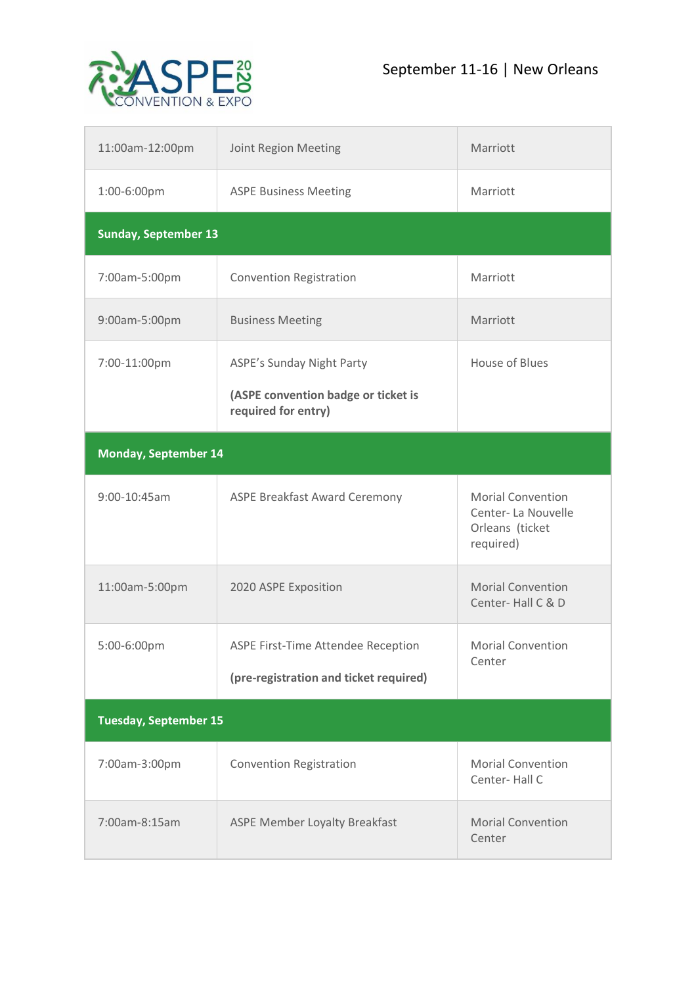



| 11:00am-12:00pm              | Joint Region Meeting                                       | Marriott                                                                       |  |  |
|------------------------------|------------------------------------------------------------|--------------------------------------------------------------------------------|--|--|
| 1:00-6:00pm                  | <b>ASPE Business Meeting</b>                               | Marriott                                                                       |  |  |
| <b>Sunday, September 13</b>  |                                                            |                                                                                |  |  |
| 7:00am-5:00pm                | <b>Convention Registration</b>                             | Marriott                                                                       |  |  |
| 9:00am-5:00pm                | <b>Business Meeting</b>                                    | Marriott                                                                       |  |  |
| 7:00-11:00pm                 | <b>ASPE's Sunday Night Party</b>                           | <b>House of Blues</b>                                                          |  |  |
|                              | (ASPE convention badge or ticket is<br>required for entry) |                                                                                |  |  |
| <b>Monday, September 14</b>  |                                                            |                                                                                |  |  |
| 9:00-10:45am                 | <b>ASPE Breakfast Award Ceremony</b>                       | <b>Morial Convention</b><br>Center-La Nouvelle<br>Orleans (ticket<br>required) |  |  |
| 11:00am-5:00pm               | 2020 ASPE Exposition                                       | <b>Morial Convention</b><br>Center-Hall C & D                                  |  |  |
| 5:00-6:00pm                  | ASPE First-Time Attendee Reception                         | <b>Morial Convention</b><br>Center                                             |  |  |
|                              | (pre-registration and ticket required)                     |                                                                                |  |  |
| <b>Tuesday, September 15</b> |                                                            |                                                                                |  |  |
| 7:00am-3:00pm                | <b>Convention Registration</b>                             | <b>Morial Convention</b><br>Center-Hall C                                      |  |  |
| 7:00am-8:15am                | <b>ASPE Member Loyalty Breakfast</b>                       | <b>Morial Convention</b><br>Center                                             |  |  |